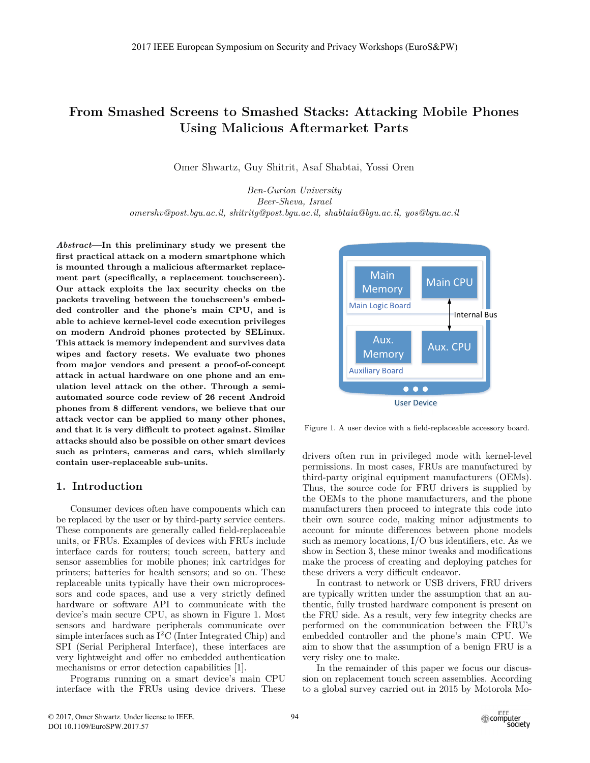# **From Smashed Screens to Smashed Stacks: Attacking Mobile Phones Using Malicious Aftermarket Parts**

Omer Shwartz, Guy Shitrit, Asaf Shabtai, Yossi Oren

*Ben-Gurion University Beer-Sheva, Israel omershv@post.bgu.ac.il, shitritg@post.bgu.ac.il, shabtaia@bgu.ac.il, yos@bgu.ac.il*

*Abstract***—In this preliminary study we present the first practical attack on a modern smartphone which is mounted through a malicious aftermarket replacement part (specifically, a replacement touchscreen). Our attack exploits the lax security checks on the packets traveling between the touchscreen's embedded controller and the phone's main CPU, and is able to achieve kernel-level code execution privileges on modern Android phones protected by SELinux. This attack is memory independent and survives data wipes and factory resets. We evaluate two phones from major vendors and present a proof-of-concept attack in actual hardware on one phone and an emulation level attack on the other. Through a semiautomated source code review of 26 recent Android phones from 8 different vendors, we believe that our attack vector can be applied to many other phones, and that it is very difficult to protect against. Similar attacks should also be possible on other smart devices such as printers, cameras and cars, which similarly contain user-replaceable sub-units.**

# **1. Introduction**

Consumer devices often have components which can be replaced by the user or by third-party service centers. These components are generally called field-replaceable units, or FRUs. Examples of devices with FRUs include interface cards for routers; touch screen, battery and sensor assemblies for mobile phones; ink cartridges for printers; batteries for health sensors; and so on. These replaceable units typically have their own microprocessors and code spaces, and use a very strictly defined hardware or software API to communicate with the device's main secure CPU, as shown in Figure 1. Most sensors and hardware peripherals communicate over simple interfaces such as I<sup>2</sup>C (Inter Integrated Chip) and SPI (Serial Peripheral Interface), these interfaces are very lightweight and offer no embedded authentication mechanisms or error detection capabilities [1].

Programs running on a smart device's main CPU interface with the FRUs using device drivers. These



Figure 1. A user device with a field-replaceable accessory board.

drivers often run in privileged mode with kernel-level permissions. In most cases, FRUs are manufactured by third-party original equipment manufacturers (OEMs). Thus, the source code for FRU drivers is supplied by the OEMs to the phone manufacturers, and the phone manufacturers then proceed to integrate this code into their own source code, making minor adjustments to account for minute differences between phone models such as memory locations, I/O bus identifiers, etc. As we show in Section 3, these minor tweaks and modifications make the process of creating and deploying patches for these drivers a very difficult endeavor.

In contrast to network or USB drivers, FRU drivers are typically written under the assumption that an authentic, fully trusted hardware component is present on the FRU side. As a result, very few integrity checks are performed on the communication between the FRU's embedded controller and the phone's main CPU. We aim to show that the assumption of a benign FRU is a very risky one to make.

In the remainder of this paper we focus our discussion on replacement touch screen assemblies. According to a global survey carried out in 2015 by Motorola Mo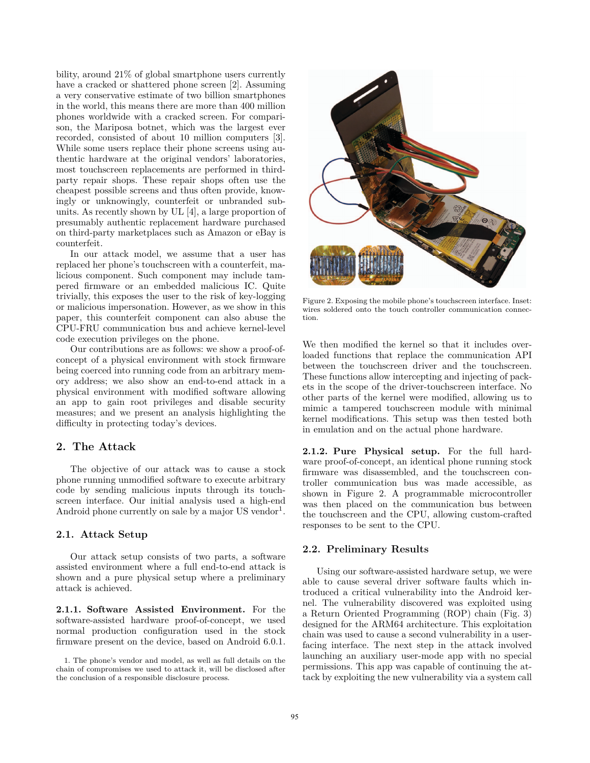bility, around 21% of global smartphone users currently have a cracked or shattered phone screen [2]. Assuming a very conservative estimate of two billion smartphones in the world, this means there are more than 400 million phones worldwide with a cracked screen. For comparison, the Mariposa botnet, which was the largest ever recorded, consisted of about 10 million computers [3]. While some users replace their phone screens using authentic hardware at the original vendors' laboratories, most touchscreen replacements are performed in thirdparty repair shops. These repair shops often use the cheapest possible screens and thus often provide, knowingly or unknowingly, counterfeit or unbranded subunits. As recently shown by UL [4], a large proportion of presumably authentic replacement hardware purchased on third-party marketplaces such as Amazon or eBay is counterfeit.

In our attack model, we assume that a user has replaced her phone's touchscreen with a counterfeit, malicious component. Such component may include tampered firmware or an embedded malicious IC. Quite trivially, this exposes the user to the risk of key-logging or malicious impersonation. However, as we show in this paper, this counterfeit component can also abuse the CPU-FRU communication bus and achieve kernel-level code execution privileges on the phone.

Our contributions are as follows: we show a proof-ofconcept of a physical environment with stock firmware being coerced into running code from an arbitrary memory address; we also show an end-to-end attack in a physical environment with modified software allowing an app to gain root privileges and disable security measures; and we present an analysis highlighting the difficulty in protecting today's devices.

## **2. The Attack**

The objective of our attack was to cause a stock phone running unmodified software to execute arbitrary code by sending malicious inputs through its touchscreen interface. Our initial analysis used a high-end Android phone currently on sale by a major US vendor<sup>1</sup>.

### **2.1. Attack Setup**

Our attack setup consists of two parts, a software assisted environment where a full end-to-end attack is shown and a pure physical setup where a preliminary attack is achieved.

**2.1.1. Software Assisted Environment.** For the software-assisted hardware proof-of-concept, we used normal production configuration used in the stock firmware present on the device, based on Android 6.0.1.



Figure 2. Exposing the mobile phone's touchscreen interface. Inset: wires soldered onto the touch controller communication connection.

We then modified the kernel so that it includes overloaded functions that replace the communication API between the touchscreen driver and the touchscreen. These functions allow intercepting and injecting of packets in the scope of the driver-touchscreen interface. No other parts of the kernel were modified, allowing us to mimic a tampered touchscreen module with minimal kernel modifications. This setup was then tested both in emulation and on the actual phone hardware.

**2.1.2. Pure Physical setup.** For the full hardware proof-of-concept, an identical phone running stock firmware was disassembled, and the touchscreen controller communication bus was made accessible, as shown in Figure 2. A programmable microcontroller was then placed on the communication bus between the touchscreen and the CPU, allowing custom-crafted responses to be sent to the CPU.

### **2.2. Preliminary Results**

Using our software-assisted hardware setup, we were able to cause several driver software faults which introduced a critical vulnerability into the Android kernel. The vulnerability discovered was exploited using a Return Oriented Programming (ROP) chain (Fig. 3) designed for the ARM64 architecture. This exploitation chain was used to cause a second vulnerability in a userfacing interface. The next step in the attack involved launching an auxiliary user-mode app with no special permissions. This app was capable of continuing the attack by exploiting the new vulnerability via a system call

<sup>1.</sup> The phone's vendor and model, as well as full details on the chain of compromises we used to attack it, will be disclosed after the conclusion of a responsible disclosure process.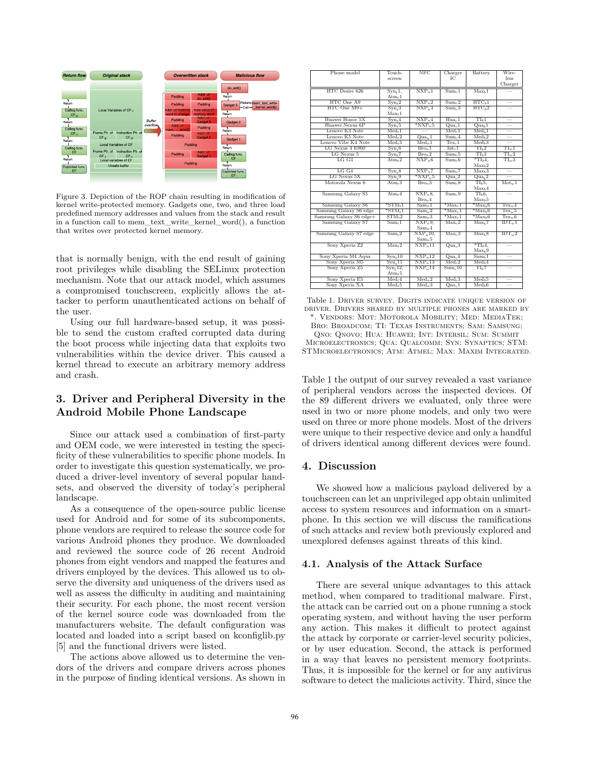

Figure 3. Depiction of the ROP chain resulting in modification of kernel write-protected memory. Gadgets one, two, and three load predefined memory addresses and values from the stack and result in a function call to mem\_text\_write\_kernel\_word(), a function that writes over protected kernel memory.

that is normally benign, with the end result of gaining root privileges while disabling the SELinux protection mechanism. Note that our attack model, which assumes a compromised touchscreen, explicitly allows the attacker to perform unauthenticated actions on behalf of the user.

Using our full hardware-based setup, it was possible to send the custom crafted corrupted data during the boot process while injecting data that exploits two vulnerabilities within the device driver. This caused a kernel thread to execute an arbitrary memory address and crash.

# **3. Driver and Peripheral Diversity in the Android Mobile Phone Landscape**

Since our attack used a combination of first-party and OEM code, we were interested in testing the specificity of these vulnerabilities to specific phone models. In order to investigate this question systematically, we produced a driver-level inventory of several popular handsets, and observed the diversity of today's peripheral landscape.

As a consequence of the open-source public license used for Android and for some of its subcomponents, phone vendors are required to release the source code for various Android phones they produce. We downloaded and reviewed the source code of 26 recent Android phones from eight vendors and mapped the features and drivers employed by the devices. This allowed us to observe the diversity and uniqueness of the drivers used as well as assess the difficulty in auditing and maintaining their security. For each phone, the most recent version of the kernel source code was downloaded from the manufacturers website. The default configuration was located and loaded into a script based on kconfiglib.py [5] and the functional drivers were listed.

The actions above allowed us to determine the vendors of the drivers and compare drivers across phones in the purpose of finding identical versions. As shown in

| Phone model             | Touch-              | NFC                         | Charger                       | Battery                    | Wire-                         |
|-------------------------|---------------------|-----------------------------|-------------------------------|----------------------------|-------------------------------|
|                         | screen              |                             | IC                            |                            | less                          |
|                         |                     |                             |                               |                            | Charger                       |
| HTC Desire 626          | Syn, 1,             | $NXP_n1$                    | $Sum-1$                       | Max <sub>1</sub> 1         |                               |
|                         | Atm <sub>t</sub> 1  |                             |                               |                            |                               |
| HTC One A9              | Svn <sub>t</sub> 2  | $NXP_n2$                    | $Sum_c2$                      | HTC <sub>k</sub> 1         |                               |
| HTC One M9+             | Svn, 3              | $NXP_n3$                    | Sum.3                         | HTC <sub>k</sub> 2         |                               |
|                         | $Max_t 1$           |                             |                               |                            |                               |
| Huawei Honor 5X         | Syn <sub>t</sub> 4  | $NXP_n4$                    | Hua <sub>c</sub> 1            | TI <sub>h</sub> 1          |                               |
| Huawei Nexus 6P         | Svn <sub>4</sub> 5  | $*_{\text{NXP}_n 5}$        | Qua <sub>n</sub> 1            | Qua <sub>l</sub> 1         | -                             |
| Lenovo K3 Note          | $Med_t1$            |                             | $\overline{\text{Med}_c1}$    | Med <sub>b</sub> 1         |                               |
| Lenovo K5 Note          | $Med_t2$            | Qua <sub>n</sub> 1          | Sum <sub>c</sub> 4            | Med <sub>b</sub> 2         | $\overline{\phantom{0}}$      |
| Lenovo Vibe K4 Note     | $Med_t3$            | $Med_n1$                    | $Tex_{c}1$                    | $\overline{\text{Med}_b3}$ |                               |
| LG Nexus 4 E960         | $Syn_t6$            | $\operatorname{Bro}_n 1$    | Int <sub>c</sub> 1            | TI <sub>h</sub> 2          | $\overline{\mathrm{TI}_{w}1}$ |
| LG Nexus 5              | $Syn_t 7$           | $\overline{\text{Bro}}_n 2$ | Sum <sub>c</sub> 5            | TI <sub>b</sub> 3          | $\overline{\text{TI}_{w}2}$   |
| LG <sub>G3</sub>        | Atm <sub>t</sub> 2  | $NXP_n6$                    | Sum <sub>c</sub> 6            | $*TI_b4,$                  | $\overline{\text{TI}_{w}3}$   |
|                         |                     |                             |                               | Max <sub>b</sub> 2         |                               |
| LG <sub>G4</sub>        | Syn <sub>t</sub> 8  | $NXP_n$ 7                   | $Sum_c 7$                     | Max <sub>b</sub> 3         |                               |
| LG Nexus 5X             | $Sym_{4}9$          | $*_{\text{NXP}_n 5}$        | Qua <sub>c</sub> 2            | Qua <sub>k</sub> 2         |                               |
| Motorola Nexus 6        | Atm.3               | Bro <sub>n</sub> 3          | Sum.8                         | $TIb5$ ,                   | Mot <sub>w</sub> 1            |
|                         |                     |                             |                               | Max <sub>b</sub> 4         |                               |
| Samsung Galaxy S5       | Atm <sub>t</sub> 4  | $NXP_n8$ .                  | Sum.9                         | $TI_b6$ ,                  |                               |
|                         |                     | $Bro_n4$                    |                               | $Max_b 5$                  |                               |
| Samsung Galaxy S6       | $*STM+1$            | $Sam_n1$                    | $*$ Max $\scriptstyle\circ$ 1 | $*$ Max <sub>b</sub> 6     | $T_{\text{ex}}$ 4             |
| Samsung Galaxy S6 edge  | $*STM+1$            | Samn2                       | $*$ Max <sub>c</sub> 1        | $*$ Max <sub>b</sub> 6     | $T_{\rm exm}$ 5               |
| Samsung Galaxy S6 edge+ | $STM_t2$            | $\mathrm{Sam}_n3$           | $*$ Max <sub>c</sub> 1        | $*{\rm Max}_b6$            | $\text{Texas}_{w}6$           |
| Samsung Galaxy S7       | $Sam_t1$            | $NXP_n9$                    | Max <sub>c</sub> 2            | Max <sub>b</sub> 7         | $IDT_w1$                      |
|                         |                     | Sam <sub>n</sub> 4          |                               |                            |                               |
| Samsung Galaxy S7 edge  | Samt2               | $NXPn10$ .                  | $Max-3$                       | Max <sub>b</sub> 8         | IDT <sub>w</sub> 2            |
|                         |                     | $\mathrm{Sam}_n 5$          |                               |                            |                               |
| Sony Xperia Z2          | $Max_t 2$           | NXP.11                      | Qua <sub>c</sub> 3            | $*TIb4,$                   |                               |
|                         |                     |                             |                               | $Max_b9$                   |                               |
| Sony Xperia M4 Aqua     | $Sym_t 10$          | $NXP_n12$                   | Qua <sub>c</sub> 4            | Sum <sub>b</sub> 1         |                               |
| Sony Xperia M5          | Syn <sub>t</sub> 11 | $NXP_n13$                   | Med <sub>c</sub> 2            | Med <sub>b</sub> 4         |                               |
| Sony Xperia Z5          | $Synt12$ ,          | $NXP_n14$                   | Sum <sub>c</sub> 10           | $TI_b7$                    |                               |
|                         | Atm <sub>t</sub> 5  |                             |                               |                            |                               |
| Sony Xperia E5          | $Med_t4$            | Med <sub>n</sub> 2          | Med <sub>r</sub> 3            | $Med_b5$                   | Ξ                             |
| Sony Xperia XA          | $Med_t5$            | Med <sub>n</sub> 3          | $Qno_1$                       | $Med_b6$                   |                               |

Table 1. Driver survey. Digits indicate unique version of driver. Drivers shared by multiple phones are marked by \*. Vendors: Mot: Motorola Mobility; Med: MediaTek;

Bro: Broadcom; TI: Texas Instruments; Sam: Samsung; Qno: Qnovo; Hua: Huawei; Int: Intersil; Sum: Summit Microelectronics; Qua: Qualcomm; Syn: Synaptics; STM:

STMicroelectronics; Atm: Atmel; Max: Maxim Integrated.

Table 1 the output of our survey revealed a vast variance of peripheral vendors across the inspected devices. Of the 89 different drivers we evaluated, only three were used in two or more phone models, and only two were used on three or more phone models. Most of the drivers were unique to their respective device and only a handful of drivers identical among different devices were found.

# **4. Discussion**

We showed how a malicious payload delivered by a touchscreen can let an unprivileged app obtain unlimited access to system resources and information on a smartphone. In this section we will discuss the ramifications of such attacks and review both previously explored and unexplored defenses against threats of this kind.

#### **4.1. Analysis of the Attack Surface**

There are several unique advantages to this attack method, when compared to traditional malware. First, the attack can be carried out on a phone running a stock operating system, and without having the user perform any action. This makes it difficult to protect against the attack by corporate or carrier-level security policies, or by user education. Second, the attack is performed in a way that leaves no persistent memory footprints. Thus, it is impossible for the kernel or for any antivirus software to detect the malicious activity. Third, since the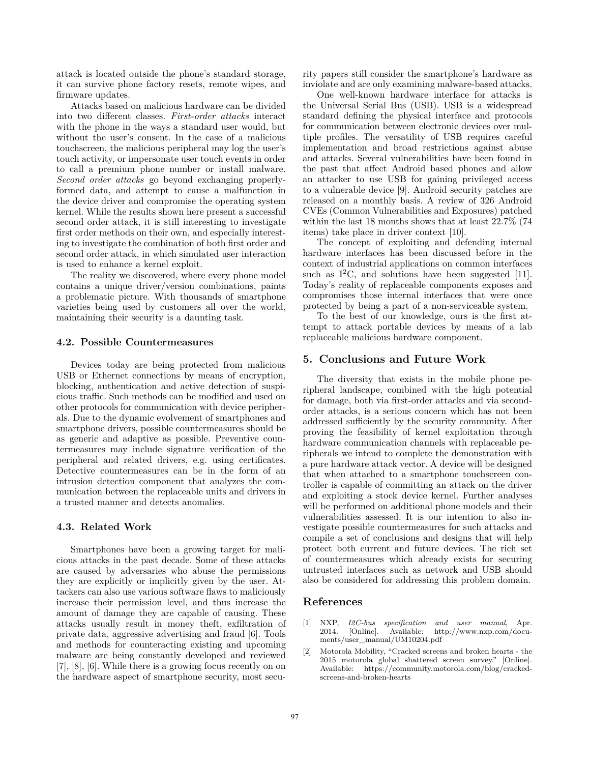attack is located outside the phone's standard storage, it can survive phone factory resets, remote wipes, and firmware updates.

Attacks based on malicious hardware can be divided into two different classes. *First-order attacks* interact with the phone in the ways a standard user would, but without the user's consent. In the case of a malicious touchscreen, the malicious peripheral may log the user's touch activity, or impersonate user touch events in order to call a premium phone number or install malware. *Second order attacks* go beyond exchanging properlyformed data, and attempt to cause a malfunction in the device driver and compromise the operating system kernel. While the results shown here present a successful second order attack, it is still interesting to investigate first order methods on their own, and especially interesting to investigate the combination of both first order and second order attack, in which simulated user interaction is used to enhance a kernel exploit.

The reality we discovered, where every phone model contains a unique driver/version combinations, paints a problematic picture. With thousands of smartphone varieties being used by customers all over the world, maintaining their security is a daunting task.

#### **4.2. Possible Countermeasures**

Devices today are being protected from malicious USB or Ethernet connections by means of encryption, blocking, authentication and active detection of suspicious traffic. Such methods can be modified and used on other protocols for communication with device peripherals. Due to the dynamic evolvement of smartphones and smartphone drivers, possible countermeasures should be as generic and adaptive as possible. Preventive countermeasures may include signature verification of the peripheral and related drivers, e.g. using certificates. Detective countermeasures can be in the form of an intrusion detection component that analyzes the communication between the replaceable units and drivers in a trusted manner and detects anomalies.

### **4.3. Related Work**

Smartphones have been a growing target for malicious attacks in the past decade. Some of these attacks are caused by adversaries who abuse the permissions they are explicitly or implicitly given by the user. Attackers can also use various software flaws to maliciously increase their permission level, and thus increase the amount of damage they are capable of causing. These attacks usually result in money theft, exfiltration of private data, aggressive advertising and fraud [6]. Tools and methods for counteracting existing and upcoming malware are being constantly developed and reviewed [7], [8], [6]. While there is a growing focus recently on on the hardware aspect of smartphone security, most security papers still consider the smartphone's hardware as inviolate and are only examining malware-based attacks.

One well-known hardware interface for attacks is the Universal Serial Bus (USB). USB is a widespread standard defining the physical interface and protocols for communication between electronic devices over multiple profiles. The versatility of USB requires careful implementation and broad restrictions against abuse and attacks. Several vulnerabilities have been found in the past that affect Android based phones and allow an attacker to use USB for gaining privileged access to a vulnerable device [9]. Android security patches are released on a monthly basis. A review of 326 Android CVEs (Common Vulnerabilities and Exposures) patched within the last 18 months shows that at least 22.7% (74 items) take place in driver context [10].

The concept of exploiting and defending internal hardware interfaces has been discussed before in the context of industrial applications on common interfaces such as  $I^2C$ , and solutions have been suggested [11]. Today's reality of replaceable components exposes and compromises those internal interfaces that were once protected by being a part of a non-serviceable system.

To the best of our knowledge, ours is the first attempt to attack portable devices by means of a lab replaceable malicious hardware component.

## **5. Conclusions and Future Work**

The diversity that exists in the mobile phone peripheral landscape, combined with the high potential for damage, both via first-order attacks and via secondorder attacks, is a serious concern which has not been addressed sufficiently by the security community. After proving the feasibility of kernel exploitation through hardware communication channels with replaceable peripherals we intend to complete the demonstration with a pure hardware attack vector. A device will be designed that when attached to a smartphone touchscreen controller is capable of committing an attack on the driver and exploiting a stock device kernel. Further analyses will be performed on additional phone models and their vulnerabilities assessed. It is our intention to also investigate possible countermeasures for such attacks and compile a set of conclusions and designs that will help protect both current and future devices. The rich set of countermeasures which already exists for securing untrusted interfaces such as network and USB should also be considered for addressing this problem domain.

## **References**

- [1] NXP, *I2C-bus specification and user manual*, Apr. http://www.nxp.com/documents/user\_manual/UM10204.pdf
- [2] Motorola Mobility, "Cracked screens and broken hearts the 2015 motorola global shattered screen survey." [Online]. Available: https://community.motorola.com/blog/crackedscreens-and-broken-hearts